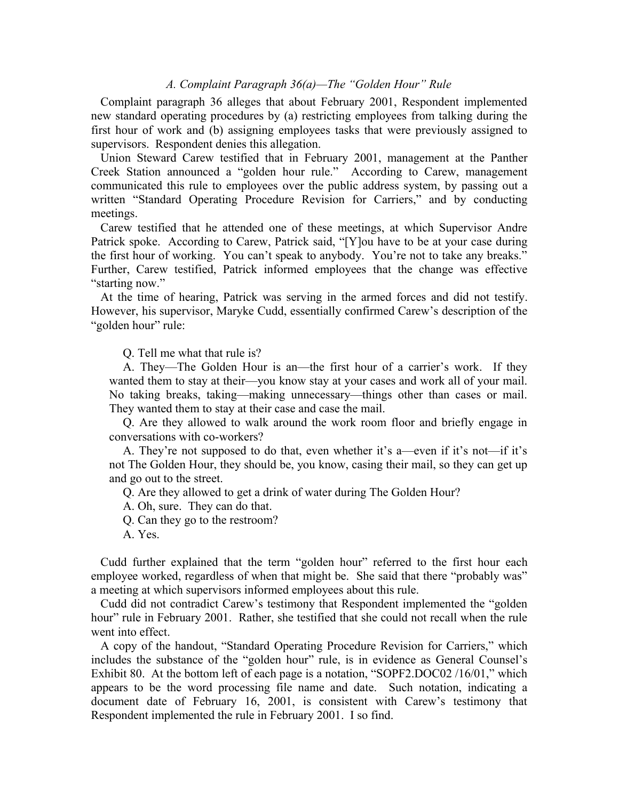# *A. Complaint Paragraph 36(a)—The "Golden Hour" Rule*

Complaint paragraph 36 alleges that about February 2001, Respondent implemented new standard operating procedures by (a) restricting employees from talking during the first hour of work and (b) assigning employees tasks that were previously assigned to supervisors. Respondent denies this allegation.

Union Steward Carew testified that in February 2001, management at the Panther Creek Station announced a "golden hour rule." According to Carew, management communicated this rule to employees over the public address system, by passing out a written "Standard Operating Procedure Revision for Carriers," and by conducting meetings.

Carew testified that he attended one of these meetings, at which Supervisor Andre Patrick spoke. According to Carew, Patrick said, "[Y]ou have to be at your case during the first hour of working. You can't speak to anybody. You're not to take any breaks." Further, Carew testified, Patrick informed employees that the change was effective "starting now."

At the time of hearing, Patrick was serving in the armed forces and did not testify. However, his supervisor, Maryke Cudd, essentially confirmed Carew's description of the "golden hour" rule:

Q. Tell me what that rule is?

A. They—The Golden Hour is an—the first hour of a carrier's work. If they wanted them to stay at their—you know stay at your cases and work all of your mail. No taking breaks, taking—making unnecessary—things other than cases or mail. They wanted them to stay at their case and case the mail.

Q. Are they allowed to walk around the work room floor and briefly engage in conversations with co-workers?

A. They're not supposed to do that, even whether it's a—even if it's not—if it's not The Golden Hour, they should be, you know, casing their mail, so they can get up and go out to the street.

Q. Are they allowed to get a drink of water during The Golden Hour?

A. Oh, sure. They can do that.

Q. Can they go to the restroom?

A. Yes.

Cudd further explained that the term "golden hour" referred to the first hour each employee worked, regardless of when that might be. She said that there "probably was" a meeting at which supervisors informed employees about this rule.

Cudd did not contradict Carew's testimony that Respondent implemented the "golden hour" rule in February 2001. Rather, she testified that she could not recall when the rule went into effect.

A copy of the handout, "Standard Operating Procedure Revision for Carriers," which includes the substance of the "golden hour" rule, is in evidence as General Counsel's Exhibit 80. At the bottom left of each page is a notation, "SOPF2.DOC02 /16/01," which appears to be the word processing file name and date. Such notation, indicating a document date of February 16, 2001, is consistent with Carew's testimony that Respondent implemented the rule in February 2001. I so find.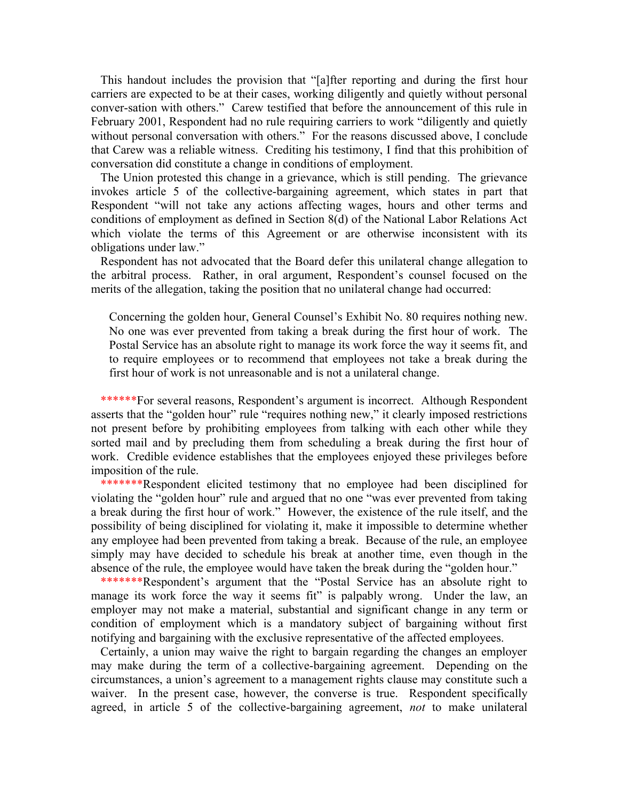This handout includes the provision that "[a]fter reporting and during the first hour carriers are expected to be at their cases, working diligently and quietly without personal conver-sation with others." Carew testified that before the announcement of this rule in February 2001, Respondent had no rule requiring carriers to work "diligently and quietly without personal conversation with others." For the reasons discussed above, I conclude that Carew was a reliable witness. Crediting his testimony, I find that this prohibition of conversation did constitute a change in conditions of employment.

The Union protested this change in a grievance, which is still pending. The grievance invokes article 5 of the collective-bargaining agreement, which states in part that Respondent "will not take any actions affecting wages, hours and other terms and conditions of employment as defined in Section 8(d) of the National Labor Relations Act which violate the terms of this Agreement or are otherwise inconsistent with its obligations under law."

Respondent has not advocated that the Board defer this unilateral change allegation to the arbitral process. Rather, in oral argument, Respondent's counsel focused on the merits of the allegation, taking the position that no unilateral change had occurred:

Concerning the golden hour, General Counsel's Exhibit No. 80 requires nothing new. No one was ever prevented from taking a break during the first hour of work. The Postal Service has an absolute right to manage its work force the way it seems fit, and to require employees or to recommend that employees not take a break during the first hour of work is not unreasonable and is not a unilateral change.

\*\*\*\*\*\*For several reasons, Respondent's argument is incorrect. Although Respondent asserts that the "golden hour" rule "requires nothing new," it clearly imposed restrictions not present before by prohibiting employees from talking with each other while they sorted mail and by precluding them from scheduling a break during the first hour of work. Credible evidence establishes that the employees enjoyed these privileges before imposition of the rule.

\*\*\*\*\*\*\*Respondent elicited testimony that no employee had been disciplined for violating the "golden hour" rule and argued that no one "was ever prevented from taking a break during the first hour of work." However, the existence of the rule itself, and the possibility of being disciplined for violating it, make it impossible to determine whether any employee had been prevented from taking a break. Because of the rule, an employee simply may have decided to schedule his break at another time, even though in the absence of the rule, the employee would have taken the break during the "golden hour."

\*\*\*\*\*\*\*Respondent's argument that the "Postal Service has an absolute right to manage its work force the way it seems fit" is palpably wrong. Under the law, an employer may not make a material, substantial and significant change in any term or condition of employment which is a mandatory subject of bargaining without first notifying and bargaining with the exclusive representative of the affected employees.

Certainly, a union may waive the right to bargain regarding the changes an employer may make during the term of a collective-bargaining agreement. Depending on the circumstances, a union's agreement to a management rights clause may constitute such a waiver. In the present case, however, the converse is true. Respondent specifically agreed, in article 5 of the collective-bargaining agreement, *not* to make unilateral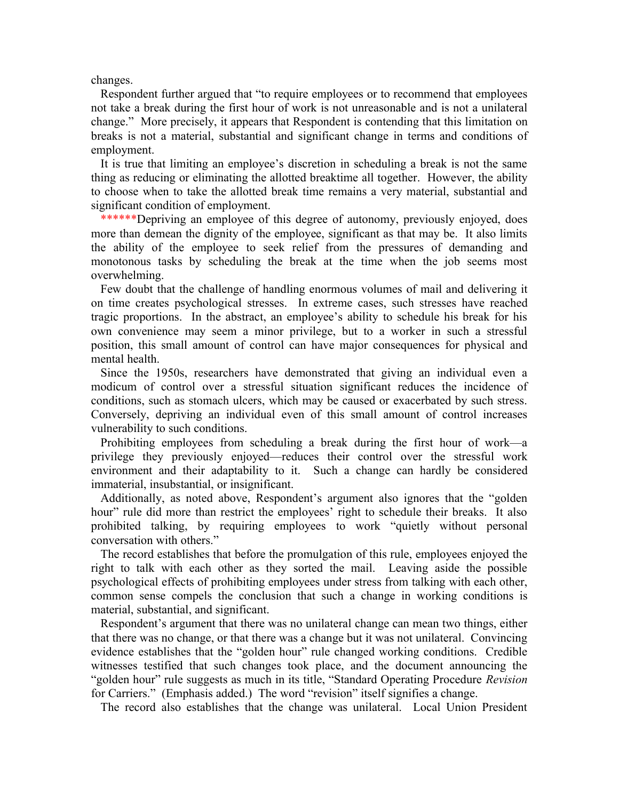changes.

Respondent further argued that "to require employees or to recommend that employees not take a break during the first hour of work is not unreasonable and is not a unilateral change." More precisely, it appears that Respondent is contending that this limitation on breaks is not a material, substantial and significant change in terms and conditions of employment.

It is true that limiting an employee's discretion in scheduling a break is not the same thing as reducing or eliminating the allotted breaktime all together. However, the ability to choose when to take the allotted break time remains a very material, substantial and significant condition of employment.

\*\*\*\*\*\*\*Depriving an employee of this degree of autonomy, previously enjoyed, does more than demean the dignity of the employee, significant as that may be. It also limits the ability of the employee to seek relief from the pressures of demanding and monotonous tasks by scheduling the break at the time when the job seems most overwhelming.

Few doubt that the challenge of handling enormous volumes of mail and delivering it on time creates psychological stresses. In extreme cases, such stresses have reached tragic proportions. In the abstract, an employee's ability to schedule his break for his own convenience may seem a minor privilege, but to a worker in such a stressful position, this small amount of control can have major consequences for physical and mental health.

Since the 1950s, researchers have demonstrated that giving an individual even a modicum of control over a stressful situation significant reduces the incidence of conditions, such as stomach ulcers, which may be caused or exacerbated by such stress. Conversely, depriving an individual even of this small amount of control increases vulnerability to such conditions.

Prohibiting employees from scheduling a break during the first hour of work—a privilege they previously enjoyed—reduces their control over the stressful work environment and their adaptability to it. Such a change can hardly be considered immaterial, insubstantial, or insignificant.

Additionally, as noted above, Respondent's argument also ignores that the "golden hour" rule did more than restrict the employees' right to schedule their breaks. It also prohibited talking, by requiring employees to work "quietly without personal conversation with others."

The record establishes that before the promulgation of this rule, employees enjoyed the right to talk with each other as they sorted the mail. Leaving aside the possible psychological effects of prohibiting employees under stress from talking with each other, common sense compels the conclusion that such a change in working conditions is material, substantial, and significant.

Respondent's argument that there was no unilateral change can mean two things, either that there was no change, or that there was a change but it was not unilateral. Convincing evidence establishes that the "golden hour" rule changed working conditions. Credible witnesses testified that such changes took place, and the document announcing the "golden hour" rule suggests as much in its title, "Standard Operating Procedure *Revision* for Carriers." (Emphasis added.) The word "revision" itself signifies a change.

The record also establishes that the change was unilateral. Local Union President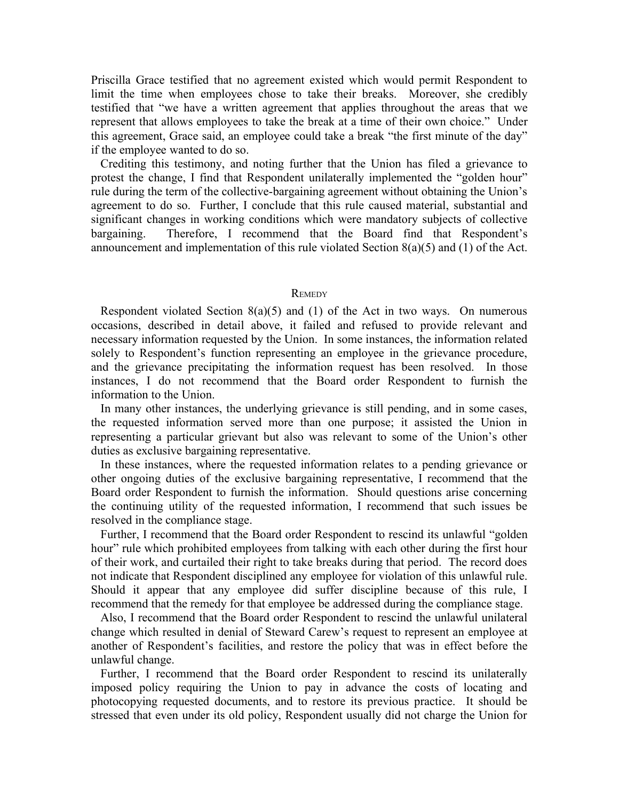Priscilla Grace testified that no agreement existed which would permit Respondent to limit the time when employees chose to take their breaks. Moreover, she credibly testified that "we have a written agreement that applies throughout the areas that we represent that allows employees to take the break at a time of their own choice." Under this agreement, Grace said, an employee could take a break "the first minute of the day" if the employee wanted to do so.

Crediting this testimony, and noting further that the Union has filed a grievance to protest the change, I find that Respondent unilaterally implemented the "golden hour" rule during the term of the collective-bargaining agreement without obtaining the Union's agreement to do so. Further, I conclude that this rule caused material, substantial and significant changes in working conditions which were mandatory subjects of collective bargaining. Therefore, I recommend that the Board find that Respondent's announcement and implementation of this rule violated Section 8(a)(5) and (1) of the Act.

#### **REMEDY**

Respondent violated Section  $8(a)(5)$  and (1) of the Act in two ways. On numerous occasions, described in detail above, it failed and refused to provide relevant and necessary information requested by the Union. In some instances, the information related solely to Respondent's function representing an employee in the grievance procedure, and the grievance precipitating the information request has been resolved. In those instances, I do not recommend that the Board order Respondent to furnish the information to the Union.

In many other instances, the underlying grievance is still pending, and in some cases, the requested information served more than one purpose; it assisted the Union in representing a particular grievant but also was relevant to some of the Union's other duties as exclusive bargaining representative.

In these instances, where the requested information relates to a pending grievance or other ongoing duties of the exclusive bargaining representative, I recommend that the Board order Respondent to furnish the information. Should questions arise concerning the continuing utility of the requested information, I recommend that such issues be resolved in the compliance stage.

Further, I recommend that the Board order Respondent to rescind its unlawful "golden hour" rule which prohibited employees from talking with each other during the first hour of their work, and curtailed their right to take breaks during that period. The record does not indicate that Respondent disciplined any employee for violation of this unlawful rule. Should it appear that any employee did suffer discipline because of this rule, I recommend that the remedy for that employee be addressed during the compliance stage.

Also, I recommend that the Board order Respondent to rescind the unlawful unilateral change which resulted in denial of Steward Carew's request to represent an employee at another of Respondent's facilities, and restore the policy that was in effect before the unlawful change.

Further, I recommend that the Board order Respondent to rescind its unilaterally imposed policy requiring the Union to pay in advance the costs of locating and photocopying requested documents, and to restore its previous practice. It should be stressed that even under its old policy, Respondent usually did not charge the Union for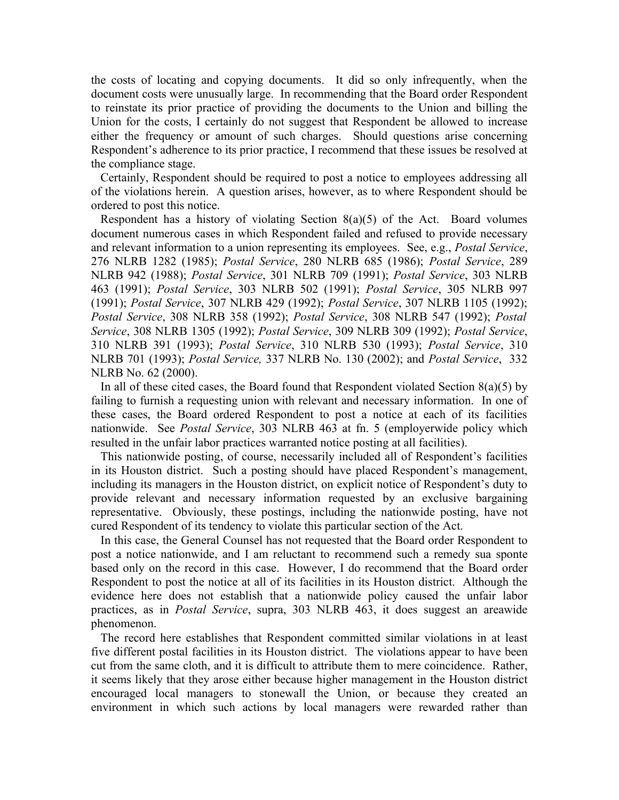the costs of locating and copying documents. It did so only infrequently, when the document costs were unusually large. In recommending that the Board order Respondent to reinstate its prior practice of providing the documents to the Union and billing the Union for the costs, I certainly do not suggest that Respondent be allowed to increase either the frequency or amount of such charges. Should questions arise concerning Respondent's adherence to its prior practice, I recommend that these issues be resolved at the compliance stage.

Certainly, Respondent should be required to post a notice to employees addressing all of the violations herein. A question arises, however, as to where Respondent should be ordered to post this notice.

Respondent has a history of violating Section 8(a)(5) of the Act. Board volumes document numerous cases in which Respondent failed and refused to provide necessary and relevant information to a union representing its employees. See, e.g., *Postal Service*, 276 NLRB 1282 (1985); *Postal Service*, 280 NLRB 685 (1986); *Postal Service*, 289 NLRB 942 (1988); *Postal Service*, 301 NLRB 709 (1991); *Postal Service*, 303 NLRB 463 (1991); *Postal Service*, 303 NLRB 502 (1991); *Postal Service*, 305 NLRB 997 (1991); *Postal Service*, 307 NLRB 429 (1992); *Postal Service*, 307 NLRB 1105 (1992); *Postal Service*, 308 NLRB 358 (1992); *Postal Service*, 308 NLRB 547 (1992); *Postal Service*, 308 NLRB 1305 (1992); *Postal Service*, 309 NLRB 309 (1992); *Postal Service*, 310 NLRB 391 (1993); *Postal Service*, 310 NLRB 530 (1993); *Postal Service*, 310 NLRB 701 (1993); *Postal Service,* 337 NLRB No. 130 (2002); and *Postal Service*, 332 NLRB No. 62 (2000).

In all of these cited cases, the Board found that Respondent violated Section  $8(a)(5)$  by failing to furnish a requesting union with relevant and necessary information. In one of these cases, the Board ordered Respondent to post a notice at each of its facilities nationwide. See *Postal Service*, 303 NLRB 463 at fn. 5 (employerwide policy which resulted in the unfair labor practices warranted notice posting at all facilities).

This nationwide posting, of course, necessarily included all of Respondent's facilities in its Houston district. Such a posting should have placed Respondent's management, including its managers in the Houston district, on explicit notice of Respondent's duty to provide relevant and necessary information requested by an exclusive bargaining representative. Obviously, these postings, including the nationwide posting, have not cured Respondent of its tendency to violate this particular section of the Act.

In this case, the General Counsel has not requested that the Board order Respondent to post a notice nationwide, and I am reluctant to recommend such a remedy sua sponte based only on the record in this case. However, I do recommend that the Board order Respondent to post the notice at all of its facilities in its Houston district. Although the evidence here does not establish that a nationwide policy caused the unfair labor practices, as in *Postal Service*, supra, 303 NLRB 463, it does suggest an areawide phenomenon.

The record here establishes that Respondent committed similar violations in at least five different postal facilities in its Houston district. The violations appear to have been cut from the same cloth, and it is difficult to attribute them to mere coincidence. Rather, it seems likely that they arose either because higher management in the Houston district encouraged local managers to stonewall the Union, or because they created an environment in which such actions by local managers were rewarded rather than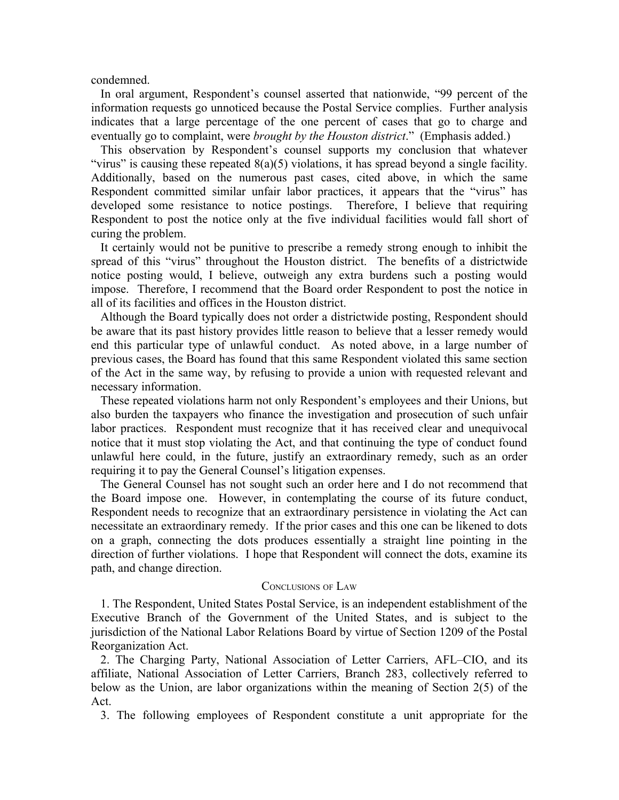condemned.

In oral argument, Respondent's counsel asserted that nationwide, "99 percent of the information requests go unnoticed because the Postal Service complies. Further analysis indicates that a large percentage of the one percent of cases that go to charge and eventually go to complaint, were *brought by the Houston district*." (Emphasis added.)

This observation by Respondent's counsel supports my conclusion that whatever "virus" is causing these repeated  $8(a)(5)$  violations, it has spread beyond a single facility. Additionally, based on the numerous past cases, cited above, in which the same Respondent committed similar unfair labor practices, it appears that the "virus" has developed some resistance to notice postings. Therefore, I believe that requiring Respondent to post the notice only at the five individual facilities would fall short of curing the problem.

It certainly would not be punitive to prescribe a remedy strong enough to inhibit the spread of this "virus" throughout the Houston district. The benefits of a districtwide notice posting would, I believe, outweigh any extra burdens such a posting would impose. Therefore, I recommend that the Board order Respondent to post the notice in all of its facilities and offices in the Houston district.

Although the Board typically does not order a districtwide posting, Respondent should be aware that its past history provides little reason to believe that a lesser remedy would end this particular type of unlawful conduct. As noted above, in a large number of previous cases, the Board has found that this same Respondent violated this same section of the Act in the same way, by refusing to provide a union with requested relevant and necessary information.

These repeated violations harm not only Respondent's employees and their Unions, but also burden the taxpayers who finance the investigation and prosecution of such unfair labor practices. Respondent must recognize that it has received clear and unequivocal notice that it must stop violating the Act, and that continuing the type of conduct found unlawful here could, in the future, justify an extraordinary remedy, such as an order requiring it to pay the General Counsel's litigation expenses.

The General Counsel has not sought such an order here and I do not recommend that the Board impose one. However, in contemplating the course of its future conduct, Respondent needs to recognize that an extraordinary persistence in violating the Act can necessitate an extraordinary remedy. If the prior cases and this one can be likened to dots on a graph, connecting the dots produces essentially a straight line pointing in the direction of further violations. I hope that Respondent will connect the dots, examine its path, and change direction.

# CONCLUSIONS OF LAW

1. The Respondent, United States Postal Service, is an independent establishment of the Executive Branch of the Government of the United States, and is subject to the jurisdiction of the National Labor Relations Board by virtue of Section 1209 of the Postal Reorganization Act.

2. The Charging Party, National Association of Letter Carriers, AFL–CIO, and its affiliate, National Association of Letter Carriers, Branch 283, collectively referred to below as the Union, are labor organizations within the meaning of Section 2(5) of the Act.

3. The following employees of Respondent constitute a unit appropriate for the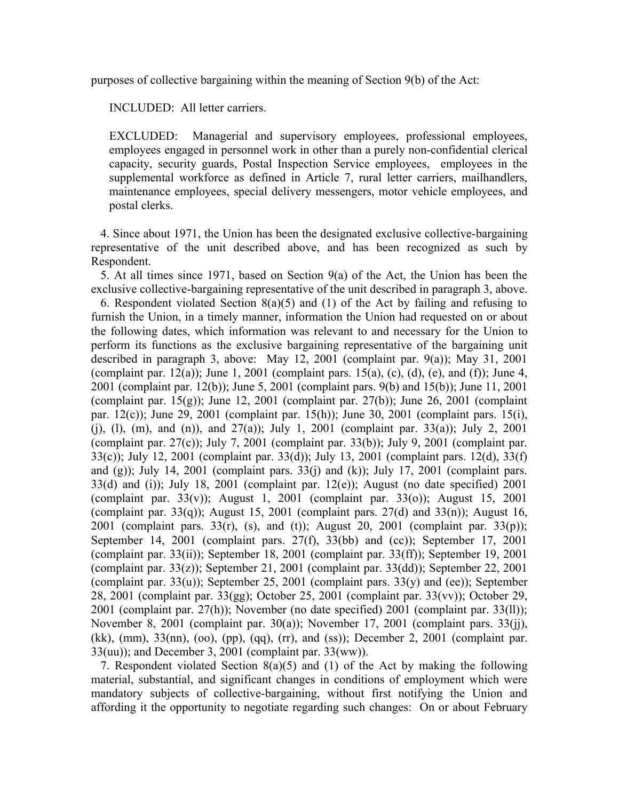purposes of collective bargaining within the meaning of Section 9(b) of the Act:

INCLUDED: All letter carriers.

EXCLUDED: Managerial and supervisory employees, professional employees, employees engaged in personnel work in other than a purely non-confidential clerical capacity, security guards, Postal Inspection Service employees, employees in the supplemental workforce as defined in Article 7, rural letter carriers, mailhandlers, maintenance employees, special delivery messengers, motor vehicle employees, and postal clerks.

4. Since about 1971, the Union has been the designated exclusive collective-bargaining representative of the unit described above, and has been recognized as such by Respondent.

5. At all times since 1971, based on Section 9(a) of the Act, the Union has been the exclusive collective-bargaining representative of the unit described in paragraph 3, above. 6. Respondent violated Section 8(a)(5) and (1) of the Act by failing and refusing to furnish the Union, in a timely manner, information the Union had requested on or about the following dates, which information was relevant to and necessary for the Union to perform its functions as the exclusive bargaining representative of the bargaining unit described in paragraph 3, above: May 12, 2001 (complaint par. 9(a)); May 31, 2001 (complaint par. 12(a)); June 1, 2001 (complaint pars. 15(a), (c), (d), (e), and (f)); June 4, 2001 (complaint par. 12(b)); June 5, 2001 (complaint pars. 9(b) and 15(b)); June 11, 2001 (complaint par.  $15(g)$ ); June 12, 2001 (complaint par. 27(b)); June 26, 2001 (complaint par. 12(c)); June 29, 2001 (complaint par. 15(h)); June 30, 2001 (complaint pars. 15(i), (i), (l), (m), and (n)), and  $27(a)$ ; July 1, 2001 (complaint par. 33(a)); July 2, 2001 (complaint par.  $27(c)$ ); July 7, 2001 (complaint par.  $33(b)$ ); July 9, 2001 (complaint par. 33(c)); July 12, 2001 (complaint par. 33(d)); July 13, 2001 (complaint pars. 12(d), 33(f) and (g)); July 14, 2001 (complaint pars.  $33(i)$  and (k)); July 17, 2001 (complaint pars.  $33(d)$  and (i)); July 18, 2001 (complaint par. 12(e)); August (no date specified) 2001 (complaint par.  $33(v)$ ); August 1, 2001 (complaint par.  $33(0)$ ); August 15, 2001 (complaint par. 33(q)); August 15, 2001 (complaint pars. 27(d) and 33(n)); August 16, 2001 (complaint pars. 33(r), (s), and (t)); August 20, 2001 (complaint par. 33(p)); September 14, 2001 (complaint pars. 27(f), 33(bb) and (cc)); September 17, 2001 (complaint par.  $33(ii)$ ); September 18, 2001 (complaint par.  $33(ff)$ ); September 19, 2001 (complaint par.  $33(z)$ ); September 21, 2001 (complaint par.  $33(dd)$ ); September 22, 2001 (complaint par.  $33(u)$ ); September 25, 2001 (complaint pars.  $33(y)$  and (ee)); September 28, 2001 (complaint par. 33(gg); October 25, 2001 (complaint par. 33(vv)); October 29, 2001 (complaint par. 27(h)); November (no date specified) 2001 (complaint par. 33(ll)); November 8, 2001 (complaint par. 30(a)); November 17, 2001 (complaint pars. 33(jj), (kk), (mm), 33(nn), (oo), (pp), (qq), (rr), and (ss)); December 2, 2001 (complaint par. 33(uu)); and December 3, 2001 (complaint par. 33(ww)).

7. Respondent violated Section 8(a)(5) and (1) of the Act by making the following material, substantial, and significant changes in conditions of employment which were mandatory subjects of collective-bargaining, without first notifying the Union and affording it the opportunity to negotiate regarding such changes: On or about February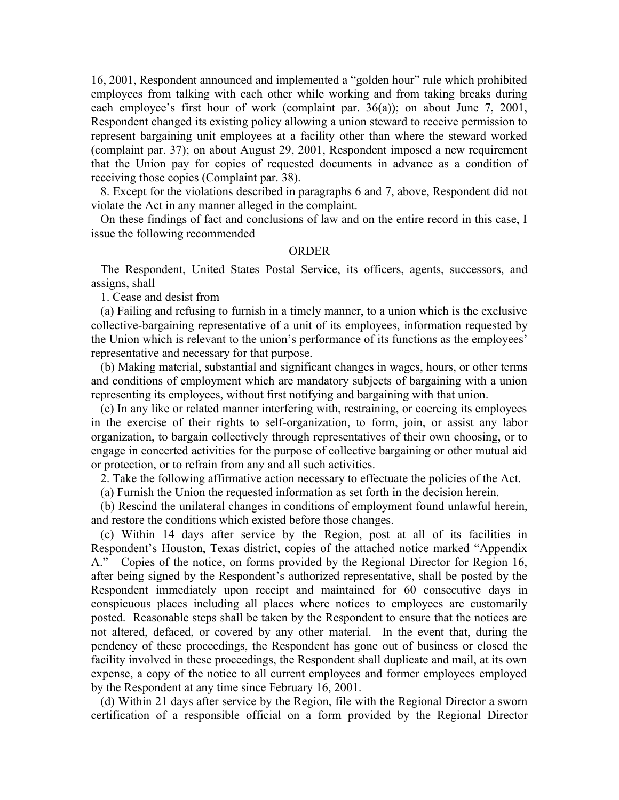16, 2001, Respondent announced and implemented a "golden hour" rule which prohibited employees from talking with each other while working and from taking breaks during each employee's first hour of work (complaint par. 36(a)); on about June 7, 2001, Respondent changed its existing policy allowing a union steward to receive permission to represent bargaining unit employees at a facility other than where the steward worked (complaint par. 37); on about August 29, 2001, Respondent imposed a new requirement that the Union pay for copies of requested documents in advance as a condition of receiving those copies (Complaint par. 38).

8. Except for the violations described in paragraphs 6 and 7, above, Respondent did not violate the Act in any manner alleged in the complaint.

On these findings of fact and conclusions of law and on the entire record in this case, I issue the following recommended

### ORDER

The Respondent, United States Postal Service, its officers, agents, successors, and assigns, shall

1. Cease and desist from

(a) Failing and refusing to furnish in a timely manner, to a union which is the exclusive collective-bargaining representative of a unit of its employees, information requested by the Union which is relevant to the union's performance of its functions as the employees' representative and necessary for that purpose.

(b) Making material, substantial and significant changes in wages, hours, or other terms and conditions of employment which are mandatory subjects of bargaining with a union representing its employees, without first notifying and bargaining with that union.

(c) In any like or related manner interfering with, restraining, or coercing its employees in the exercise of their rights to self-organization, to form, join, or assist any labor organization, to bargain collectively through representatives of their own choosing, or to engage in concerted activities for the purpose of collective bargaining or other mutual aid or protection, or to refrain from any and all such activities.

2. Take the following affirmative action necessary to effectuate the policies of the Act.

(a) Furnish the Union the requested information as set forth in the decision herein.

(b) Rescind the unilateral changes in conditions of employment found unlawful herein, and restore the conditions which existed before those changes.

(c) Within 14 days after service by the Region, post at all of its facilities in Respondent's Houston, Texas district, copies of the attached notice marked "Appendix A." Copies of the notice, on forms provided by the Regional Director for Region 16, after being signed by the Respondent's authorized representative, shall be posted by the Respondent immediately upon receipt and maintained for 60 consecutive days in conspicuous places including all places where notices to employees are customarily posted. Reasonable steps shall be taken by the Respondent to ensure that the notices are not altered, defaced, or covered by any other material. In the event that, during the pendency of these proceedings, the Respondent has gone out of business or closed the facility involved in these proceedings, the Respondent shall duplicate and mail, at its own expense, a copy of the notice to all current employees and former employees employed by the Respondent at any time since February 16, 2001.

(d) Within 21 days after service by the Region, file with the Regional Director a sworn certification of a responsible official on a form provided by the Regional Director